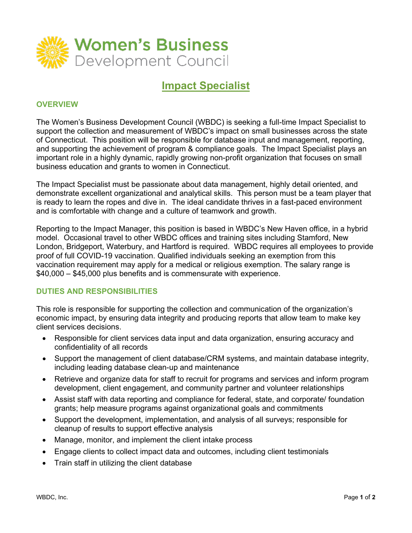

# **Impact Specialist**

## **OVERVIEW**

The Women's Business Development Council (WBDC) is seeking a full-time Impact Specialist to support the collection and measurement of WBDC's impact on small businesses across the state of Connecticut. This position will be responsible for database input and management, reporting, and supporting the achievement of program & compliance goals. The Impact Specialist plays an important role in a highly dynamic, rapidly growing non-profit organization that focuses on small business education and grants to women in Connecticut.

The Impact Specialist must be passionate about data management, highly detail oriented, and demonstrate excellent organizational and analytical skills. This person must be a team player that is ready to learn the ropes and dive in. The ideal candidate thrives in a fast-paced environment and is comfortable with change and a culture of teamwork and growth.

Reporting to the Impact Manager, this position is based in WBDC's New Haven office, in a hybrid model. Occasional travel to other WBDC offices and training sites including Stamford, New London, Bridgeport, Waterbury, and Hartford is required. WBDC requires all employees to provide proof of full COVID-19 vaccination. Qualified individuals seeking an exemption from this vaccination requirement may apply for a medical or religious exemption. The salary range is \$40,000 – \$45,000 plus benefits and is commensurate with experience.

#### **DUTIES AND RESPONSIBILITIES**

This role is responsible for supporting the collection and communication of the organization's economic impact, by ensuring data integrity and producing reports that allow team to make key client services decisions.

- Responsible for client services data input and data organization, ensuring accuracy and confidentiality of all records
- Support the management of client database/CRM systems, and maintain database integrity, including leading database clean-up and maintenance
- Retrieve and organize data for staff to recruit for programs and services and inform program development, client engagement, and community partner and volunteer relationships
- Assist staff with data reporting and compliance for federal, state, and corporate/ foundation grants; help measure programs against organizational goals and commitments
- Support the development, implementation, and analysis of all surveys; responsible for cleanup of results to support effective analysis
- Manage, monitor, and implement the client intake process
- Engage clients to collect impact data and outcomes, including client testimonials
- Train staff in utilizing the client database